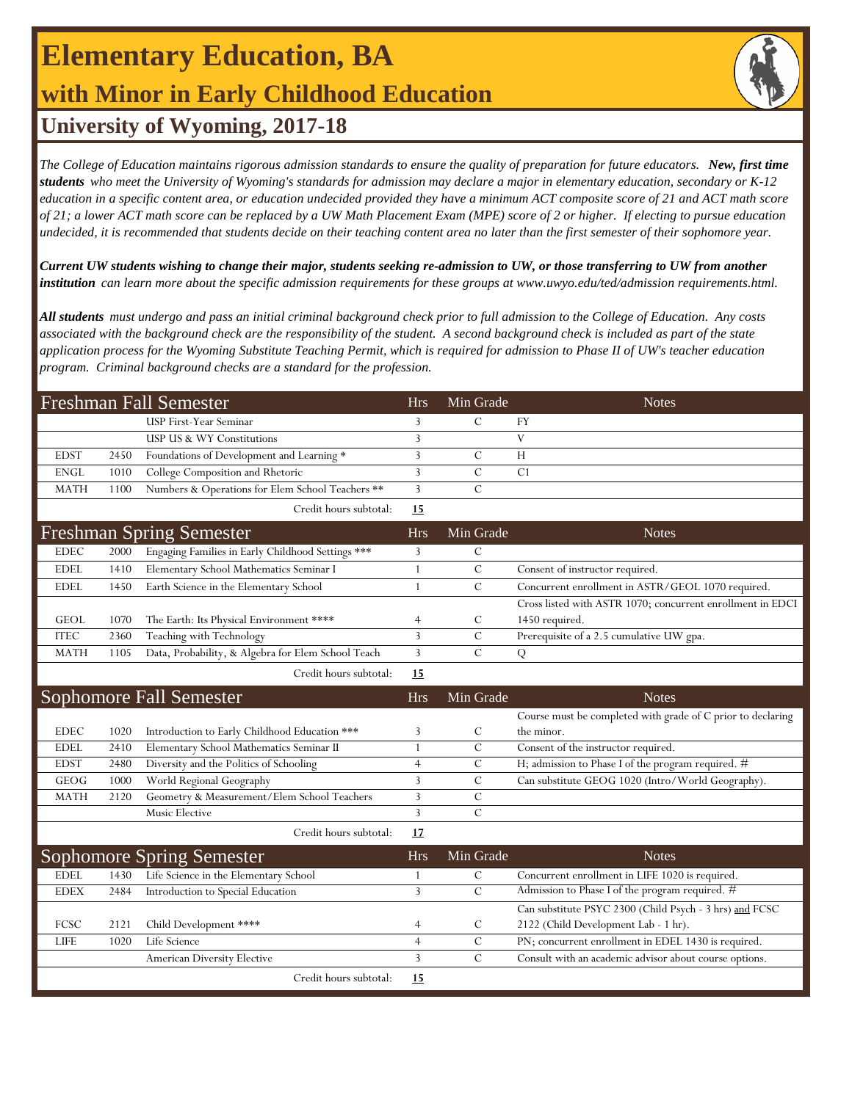# **Elementary Education, BA with Minor in Early Childhood Education**



## **University of Wyoming, 2017-18**

*The College of Education maintains rigorous admission standards to ensure the quality of preparation for future educators. New, first time students who meet the University of Wyoming's standards for admission may declare a major in elementary education, secondary or K-12 education in a specific content area, or education undecided provided they have a minimum ACT composite score of 21 and ACT math score of 21; a lower ACT math score can be replaced by a UW Math Placement Exam (MPE) score of 2 or higher. If electing to pursue education undecided, it is recommended that students decide on their teaching content area no later than the first semester of their sophomore year.*

*Current UW students wishing to change their major, students seeking re-admission to UW, or those transferring to UW from another institution can learn more about the specific admission requirements for these groups at www.uwyo.edu/ted/admission requirements.html.* 

*All students must undergo and pass an initial criminal background check prior to full admission to the College of Education. Any costs associated with the background check are the responsibility of the student. A second background check is included as part of the state application process for the Wyoming Substitute Teaching Permit, which is required for admission to Phase II of UW's teacher education program. Criminal background checks are a standard for the profession.*

| <b>Freshman Fall Semester</b> |      |                                                    |                | Min Grade      | <b>Notes</b>                                                |
|-------------------------------|------|----------------------------------------------------|----------------|----------------|-------------------------------------------------------------|
|                               |      | USP First-Year Seminar                             | 3              | $\mathcal{C}$  | FY                                                          |
|                               |      | USP US & WY Constitutions                          | 3              |                | V                                                           |
| <b>EDST</b>                   | 2450 | Foundations of Development and Learning *          | 3              | $\mathcal{C}$  | H                                                           |
| <b>ENGL</b>                   | 1010 | College Composition and Rhetoric                   | 3              | $\overline{C}$ | C1                                                          |
| <b>MATH</b>                   | 1100 | Numbers & Operations for Elem School Teachers **   | 3              | $\mathcal{C}$  |                                                             |
|                               |      | Credit hours subtotal:                             | 15             |                |                                                             |
|                               |      | <b>Freshman Spring Semester</b>                    | <b>Hrs</b>     | Min Grade      | <b>Notes</b>                                                |
| <b>EDEC</b>                   | 2000 | Engaging Families in Early Childhood Settings ***  | 3              | $\mathcal{C}$  |                                                             |
| <b>EDEL</b>                   | 1410 | Elementary School Mathematics Seminar I            | 1              | $\mathcal{C}$  | Consent of instructor required.                             |
| <b>EDEL</b>                   | 1450 | Earth Science in the Elementary School             | 1              | $\cal C$       | Concurrent enrollment in ASTR/GEOL 1070 required.           |
|                               |      |                                                    |                |                | Cross listed with ASTR 1070; concurrent enrollment in EDCI  |
| <b>GEOL</b>                   | 1070 | The Earth: Its Physical Environment ****           | 4              | $\mathcal{C}$  | 1450 required.                                              |
| <b>ITEC</b>                   | 2360 | Teaching with Technology                           | 3              | $\mathcal{C}$  | Prerequisite of a 2.5 cumulative UW gpa.                    |
| <b>MATH</b>                   | 1105 | Data, Probability, & Algebra for Elem School Teach | $\overline{3}$ | $\mathcal{C}$  | Q                                                           |
|                               |      | Credit hours subtotal:                             | 15             |                |                                                             |
|                               |      | Sophomore Fall Semester                            | <b>Hrs</b>     | Min Grade      | <b>Notes</b>                                                |
|                               |      |                                                    |                |                | Course must be completed with grade of C prior to declaring |
| <b>EDEC</b>                   | 1020 | Introduction to Early Childhood Education ***      | 3              | C              | the minor.                                                  |
| <b>EDEL</b>                   | 2410 | Elementary School Mathematics Seminar II           | $\mathbf{1}$   | $\mathcal{C}$  | Consent of the instructor required.                         |
| <b>EDST</b>                   | 2480 | Diversity and the Politics of Schooling            | $\overline{4}$ | $\mathcal{C}$  | H; admission to Phase I of the program required. #          |
| <b>GEOG</b>                   | 1000 | World Regional Geography                           | 3              | $\mathbf C$    | Can substitute GEOG 1020 (Intro/World Geography).           |
| <b>MATH</b>                   | 2120 | Geometry & Measurement/Elem School Teachers        | 3              | $\mathbf C$    |                                                             |
|                               |      | Music Elective                                     | 3              | $\mathcal{C}$  |                                                             |
|                               |      | Credit hours subtotal:                             | 17             |                |                                                             |
|                               |      | <b>Sophomore Spring Semester</b>                   | <b>Hrs</b>     | Min Grade      | <b>Notes</b>                                                |
| <b>EDEL</b>                   | 1430 | Life Science in the Elementary School              | 1              | $\mathcal{C}$  | Concurrent enrollment in LIFE 1020 is required.             |
| <b>EDEX</b>                   | 2484 | Introduction to Special Education                  | 3              | $\mathcal{C}$  | Admission to Phase I of the program required. #             |
|                               |      |                                                    |                |                | Can substitute PSYC 2300 (Child Psych - 3 hrs) and FCSC     |
| FCSC                          | 2121 | Child Development ****                             | $\overline{4}$ | C              | 2122 (Child Development Lab - 1 hr).                        |
| <b>LIFE</b>                   | 1020 | Life Science                                       | $\overline{4}$ | $\cal C$       | PN; concurrent enrollment in EDEL 1430 is required.         |
|                               |      | American Diversity Elective                        | 3              | $\overline{C}$ | Consult with an academic advisor about course options.      |
|                               |      | Credit hours subtotal:                             | 15             |                |                                                             |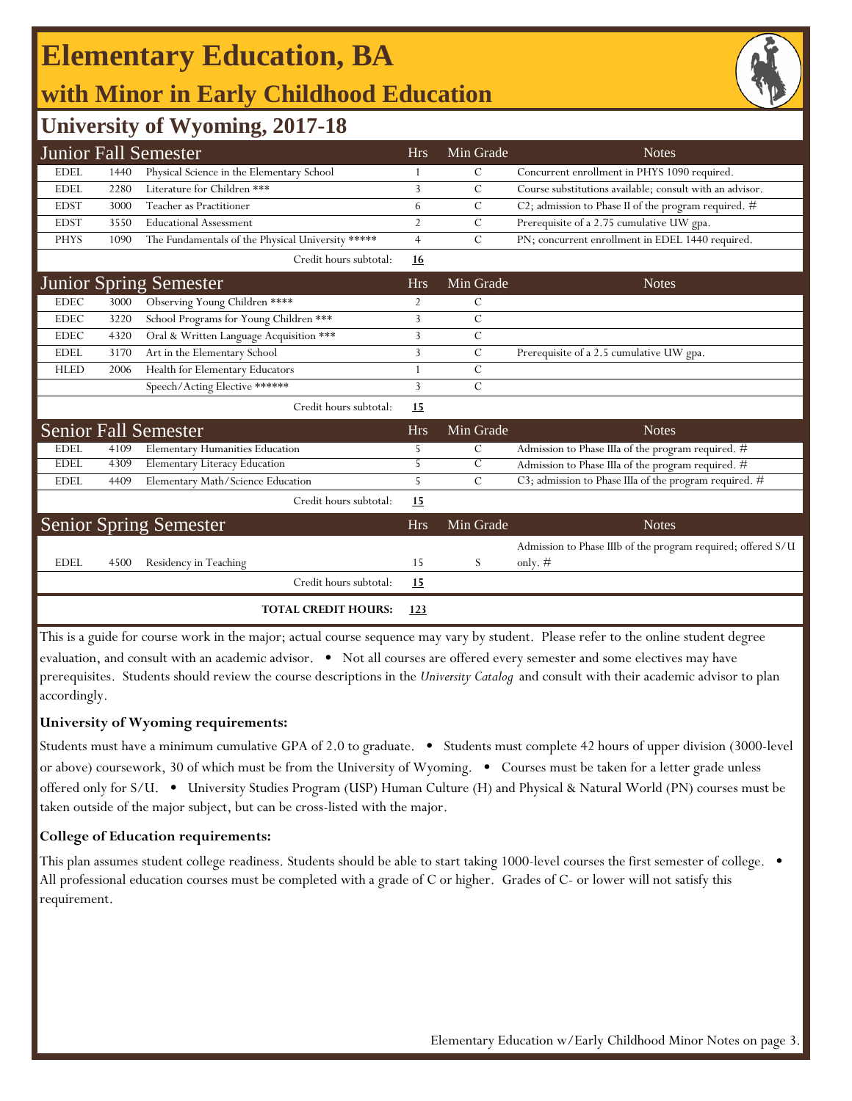## **Elementary Education, BA with Minor in Early Childhood Education**



## **University of Wyoming, 2017-18**

|             |      | <b>Junior Fall Semester</b>                       | <b>Hrs</b>     | Min Grade     | <b>Notes</b>                                                 |
|-------------|------|---------------------------------------------------|----------------|---------------|--------------------------------------------------------------|
| <b>EDEL</b> | 1440 | Physical Science in the Elementary School         |                | $\mathcal{C}$ | Concurrent enrollment in PHYS 1090 required.                 |
| <b>EDEL</b> | 2280 | Literature for Children ***                       | 3              | $\mathcal{C}$ | Course substitutions available; consult with an advisor.     |
| <b>EDST</b> | 3000 | Teacher as Practitioner                           | 6              | $\mathcal{C}$ | C2; admission to Phase II of the program required. #         |
| <b>EDST</b> | 3550 | <b>Educational Assessment</b>                     | $\overline{2}$ | $\mathcal{C}$ | Prerequisite of a 2.75 cumulative UW gpa.                    |
| <b>PHYS</b> | 1090 | The Fundamentals of the Physical University ***** | $\overline{4}$ | $\mathcal{C}$ | PN; concurrent enrollment in EDEL 1440 required.             |
|             |      | Credit hours subtotal:                            | <u>16</u>      |               |                                                              |
|             |      | <b>Junior Spring Semester</b>                     | <b>Hrs</b>     | Min Grade     | <b>Notes</b>                                                 |
| <b>EDEC</b> | 3000 | Observing Young Children ****                     | 2              | C             |                                                              |
| <b>EDEC</b> | 3220 | School Programs for Young Children ***            | 3              | $\cal C$      |                                                              |
| <b>EDEC</b> | 4320 | Oral & Written Language Acquisition ***           | 3              | $\mathcal{C}$ |                                                              |
| <b>EDEL</b> | 3170 | Art in the Elementary School                      | 3              | $\mathcal{C}$ | Prerequisite of a 2.5 cumulative UW gpa.                     |
| <b>HLED</b> | 2006 | Health for Elementary Educators                   | 1              | $\mathcal{C}$ |                                                              |
|             |      | Speech/Acting Elective ******                     | 3              | $\mathcal{C}$ |                                                              |
|             |      | Credit hours subtotal:                            | 15             |               |                                                              |
|             |      | <b>Senior Fall Semester</b>                       | <b>Hrs</b>     | Min Grade     | <b>Notes</b>                                                 |
| <b>EDEL</b> | 4109 | <b>Elementary Humanities Education</b>            | 5              | $\mathcal{C}$ | Admission to Phase IIIa of the program required. #           |
| <b>EDEL</b> | 4309 | <b>Elementary Literacy Education</b>              | 5              | $\mathcal{C}$ | Admission to Phase IIIa of the program required. #           |
| <b>EDEL</b> | 4409 | Elementary Math/Science Education                 | 5              | $\mathcal{C}$ | C3; admission to Phase IIIa of the program required. #       |
|             |      | Credit hours subtotal:                            | 15             |               |                                                              |
|             |      | <b>Senior Spring Semester</b>                     | <b>Hrs</b>     | Min Grade     | <b>Notes</b>                                                 |
|             |      |                                                   |                |               | Admission to Phase IIIb of the program required; offered S/U |
| <b>EDEL</b> | 4500 | Residency in Teaching                             | 15             | S             | only. $#$                                                    |
|             |      | Credit hours subtotal:                            | 15             |               |                                                              |
|             |      | <b>TOTAL CREDIT HOURS:</b>                        | <u>123</u>     |               |                                                              |

This is a guide for course work in the major; actual course sequence may vary by student. Please refer to the online student degree evaluation, and consult with an academic advisor. • Not all courses are offered every semester and some electives may have prerequisites. Students should review the course descriptions in the *University Catalog* and consult with their academic advisor to plan accordingly.

#### **University of Wyoming requirements:**

Students must have a minimum cumulative GPA of 2.0 to graduate. • Students must complete 42 hours of upper division (3000-level or above) coursework, 30 of which must be from the University of Wyoming. • Courses must be taken for a letter grade unless offered only for S/U. • University Studies Program (USP) Human Culture (H) and Physical & Natural World (PN) courses must be taken outside of the major subject, but can be cross-listed with the major.

#### **College of Education requirements:**

This plan assumes student college readiness. Students should be able to start taking 1000-level courses the first semester of college.  $\bullet$ All professional education courses must be completed with a grade of C or higher. Grades of C- or lower will not satisfy this requirement.